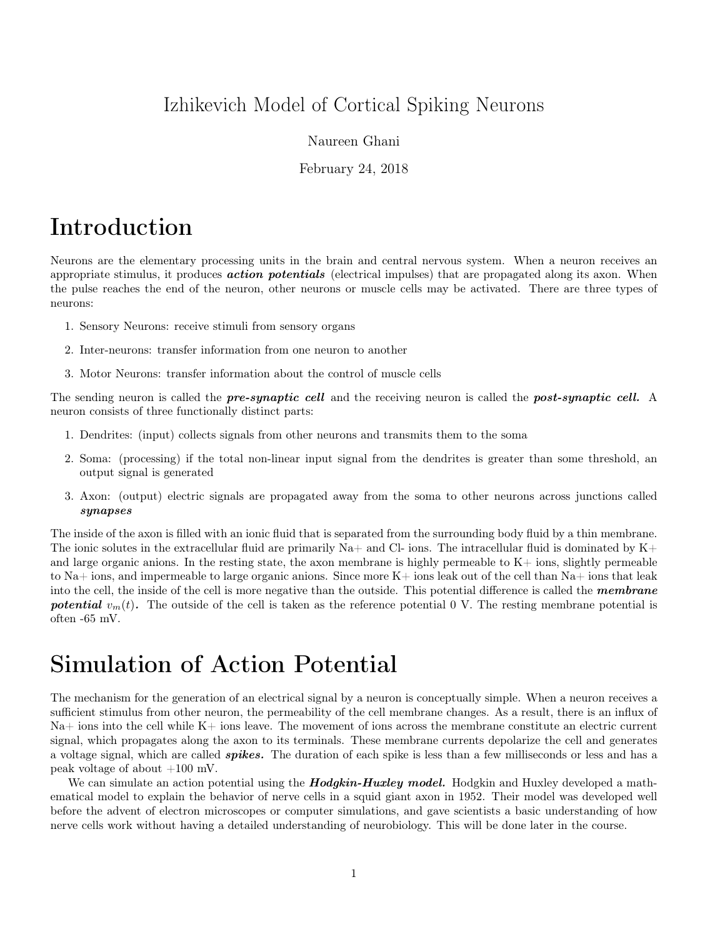## Izhikevich Model of Cortical Spiking Neurons

#### Naureen Ghani

February 24, 2018

## Introduction

Neurons are the elementary processing units in the brain and central nervous system. When a neuron receives an appropriate stimulus, it produces **action potentials** (electrical impulses) that are propagated along its axon. When the pulse reaches the end of the neuron, other neurons or muscle cells may be activated. There are three types of neurons:

- 1. Sensory Neurons: receive stimuli from sensory organs
- 2. Inter-neurons: transfer information from one neuron to another
- 3. Motor Neurons: transfer information about the control of muscle cells

The sending neuron is called the **pre-synaptic cell** and the receiving neuron is called the **post-synaptic cell.** A neuron consists of three functionally distinct parts:

- 1. Dendrites: (input) collects signals from other neurons and transmits them to the soma
- 2. Soma: (processing) if the total non-linear input signal from the dendrites is greater than some threshold, an output signal is generated
- 3. Axon: (output) electric signals are propagated away from the soma to other neurons across junctions called synapses

The inside of the axon is filled with an ionic fluid that is separated from the surrounding body fluid by a thin membrane. The ionic solutes in the extracellular fluid are primarily Na+ and Cl- ions. The intracellular fluid is dominated by  $K+$ and large organic anions. In the resting state, the axon membrane is highly permeable to  $K<sub>+</sub>$  ions, slightly permeable to Na+ ions, and impermeable to large organic anions. Since more K+ ions leak out of the cell than Na+ ions that leak into the cell, the inside of the cell is more negative than the outside. This potential difference is called the **membrane** potential  $v_m(t)$ . The outside of the cell is taken as the reference potential 0 V. The resting membrane potential is often -65 mV.

## Simulation of Action Potential

The mechanism for the generation of an electrical signal by a neuron is conceptually simple. When a neuron receives a sufficient stimulus from other neuron, the permeability of the cell membrane changes. As a result, there is an influx of  $\text{Na}$  is into the cell while K+ ions leave. The movement of ions across the membrane constitute an electric current signal, which propagates along the axon to its terminals. These membrane currents depolarize the cell and generates a voltage signal, which are called **spikes**. The duration of each spike is less than a few milliseconds or less and has a peak voltage of about  $+100$  mV.

We can simulate an action potential using the **Hodgkin-Huxley model.** Hodgkin and Huxley developed a mathematical model to explain the behavior of nerve cells in a squid giant axon in 1952. Their model was developed well before the advent of electron microscopes or computer simulations, and gave scientists a basic understanding of how nerve cells work without having a detailed understanding of neurobiology. This will be done later in the course.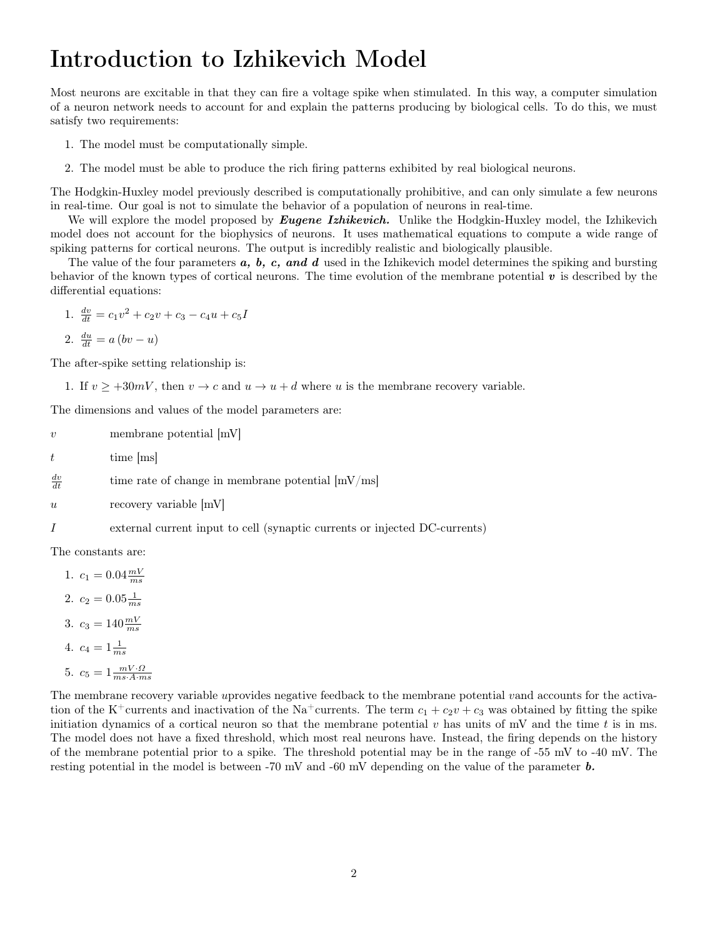## Introduction to Izhikevich Model

Most neurons are excitable in that they can fire a voltage spike when stimulated. In this way, a computer simulation of a neuron network needs to account for and explain the patterns producing by biological cells. To do this, we must satisfy two requirements:

- 1. The model must be computationally simple.
- 2. The model must be able to produce the rich firing patterns exhibited by real biological neurons.

The Hodgkin-Huxley model previously described is computationally prohibitive, and can only simulate a few neurons in real-time. Our goal is not to simulate the behavior of a population of neurons in real-time.

We will explore the model proposed by **Eugene Izhikevich**. Unlike the Hodgkin-Huxley model, the Izhikevich model does not account for the biophysics of neurons. It uses mathematical equations to compute a wide range of spiking patterns for cortical neurons. The output is incredibly realistic and biologically plausible.

The value of the four parameters  $a, b, c, and d$  used in the Izhikevich model determines the spiking and bursting behavior of the known types of cortical neurons. The time evolution of the membrane potential  $v$  is described by the differential equations:

1.  $\frac{dv}{dt} = c_1 v^2 + c_2 v + c_3 - c_4 u + c_5 I$ 

$$
2. \frac{du}{dt} = a (bv - u)
$$

The after-spike setting relationship is:

1. If  $v > +30mV$ , then  $v \to c$  and  $u \to u + d$  where u is the membrane recovery variable.

The dimensions and values of the model parameters are:

 $v \sim$  membrane potential  $[mV]$ 

 $t$  time  $|ms|$ 

 $\frac{dv}{dt}$ time rate of change in membrane potential  $[mV/ms]$ 

u recovery variable  $|mV|$ 

I external current input to cell (synaptic currents or injected DC-currents)

The constants are:

1.  $c_1 = 0.04 \frac{mV}{ms}$ 2.  $c_2 = 0.05 \frac{1}{ms}$ 3.  $c_3 = 140 \frac{mV}{ms}$ 4.  $c_4 = 1 \frac{1}{ms}$ 5.  $c_5 = 1 \frac{mV \cdot \Omega}{ms \cdot A \cdot ms}$ 

The membrane recovery variable uprovides negative feedback to the membrane potential vand accounts for the activation of the K<sup>+</sup>currents and inactivation of the Na<sup>+</sup>currents. The term  $c_1 + c_2v + c_3$  was obtained by fitting the spike initiation dynamics of a cortical neuron so that the membrane potential  $v$  has units of mV and the time  $t$  is in ms. The model does not have a fixed threshold, which most real neurons have. Instead, the firing depends on the history of the membrane potential prior to a spike. The threshold potential may be in the range of -55 mV to -40 mV. The resting potential in the model is between -70 mV and -60 mV depending on the value of the parameter b.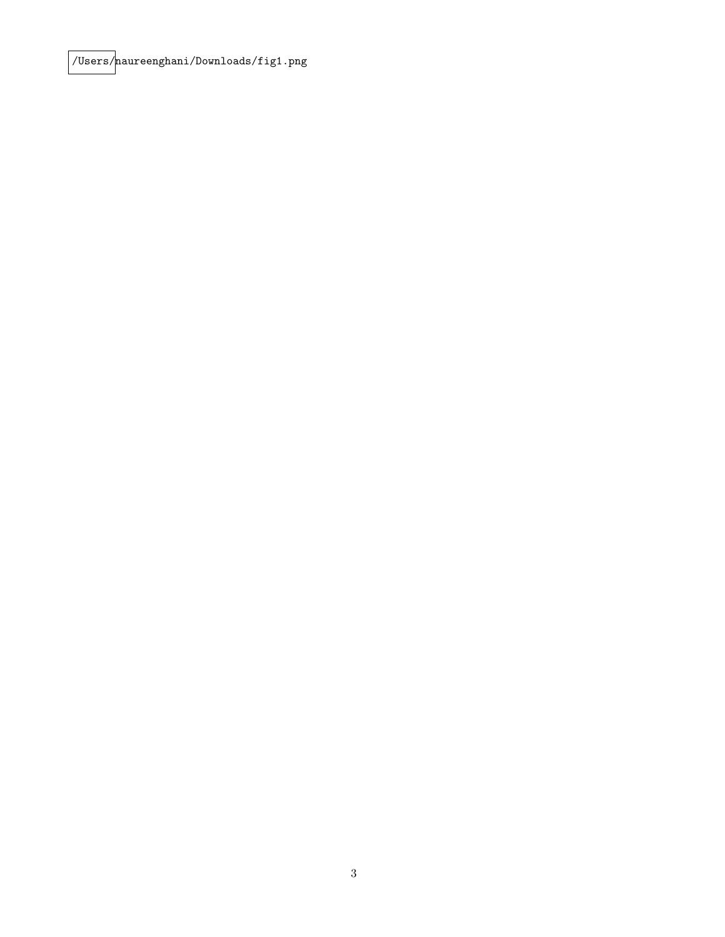/Users/naureenghani/Downloads/fig1.png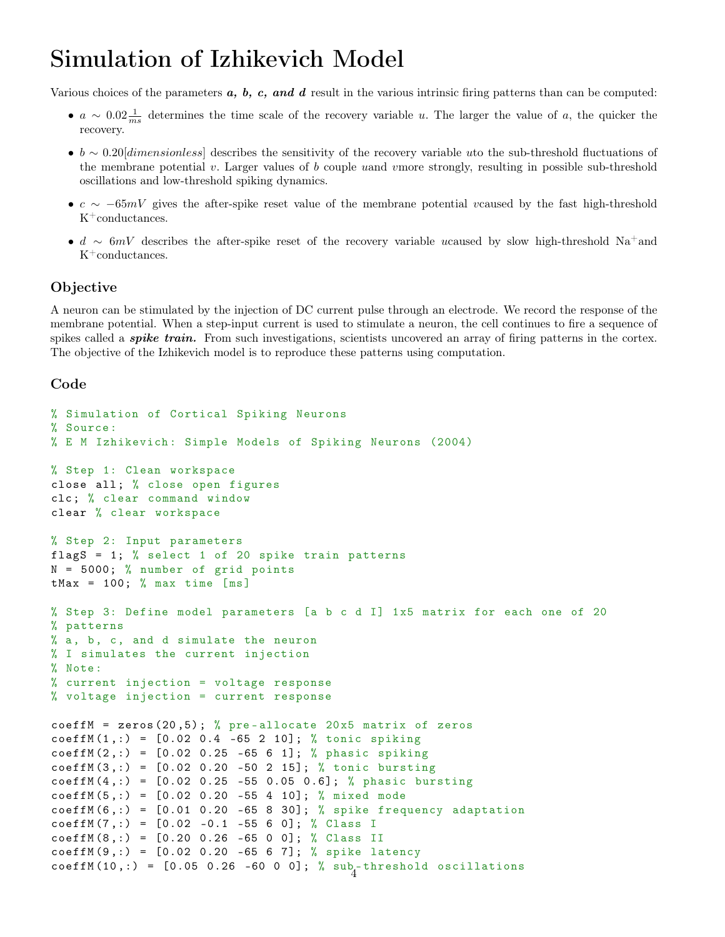# Simulation of Izhikevich Model

Various choices of the parameters  $a, b, c, and d$  result in the various intrinsic firing patterns than can be computed:

- $a \sim 0.02 \frac{1}{ms}$  determines the time scale of the recovery variable u. The larger the value of a, the quicker the recovery.
- $b \sim 0.20$ [dimensionless] describes the sensitivity of the recovery variable uto the sub-threshold fluctuations of the membrane potential  $v$ . Larger values of  $b$  couple uand vmore strongly, resulting in possible sub-threshold oscillations and low-threshold spiking dynamics.
- $c \sim -65mV$  gives the after-spike reset value of the membrane potential vcaused by the fast high-threshold  $K^+$ conductances.
- d ∼ 6mV describes the after-spike reset of the recovery variable ucaused by slow high-threshold Na<sup>+</sup>and  $K^+$ conductances.

### Objective

A neuron can be stimulated by the injection of DC current pulse through an electrode. We record the response of the membrane potential. When a step-input current is used to stimulate a neuron, the cell continues to fire a sequence of spikes called a *spike train*. From such investigations, scientists uncovered an array of firing patterns in the cortex. The objective of the Izhikevich model is to reproduce these patterns using computation.

## Code

```
% Simulation of Cortical Spiking Neurons
% Source :
% E M Izhikevich: Simple Models of Spiking Neurons (2004)
% Step 1: Clean workspace
close all; % close open figures
clc ; % clear command window
clear % clear workspace
% Step 2: Input parameters
flagS = 1; % select 1 of 20 spike train patterns
N = 5000; % number of grid points
tMax = 100; % max time [ms]
% Step 3: Define model parameters [a b c d I] 1x5 matrix for each one of 20
% patterns
% a, b, c, and d simulate the neuron
% I simulates the current injection
% Note :
% current injection = voltage response
% voltage injection = current response
coeffM = zeros(20,5); % pre-allocate 20x5 matrix of zeros
coeffM(1,:) = [0.02 \ 0.4 \ -65 \ 2 \ 10]; % tonic spiking
coeffM(2, :) = [0.02 \ 0.25 -65 \ 6 \ 1]; % phasic spiking
coeffM(3, :) = [0.02 \ 0.20 \ -50 \ 2 \ 15]; % tonic bursting
coeffM(4,:) = [0.02 \t0.25 -55 \t0.05 \t0.6]; % phase function is given by the following equation:\n<math>0.61; % k = 0.02; % k = 0.05; % k = 0.05; % k = 0.05; % k = 0.05; % k = 0.05; % k = 0.05; % k = 0.05; % k = 0.05; % k = 0.05; % k = 0.05; % k = 0.05; % k = 0.05; % k = 0.05; % k = 0.05; % k = 0.05; % k = 0.05; % k = 0.05; % k = 0.coeffM(5,:) = [0.02 \ 0.20 \ -55 \ 4 \ 10]; % mixed mode
coeffM(6, :) = [0.01 0.20 -65 8 30]; % spike frequency adaptation
coeffM(7,:) = [0.02 -0.1 -55 6 0]; % Class IcoeffM(8, :) = [0.20 0.26 -65 0 0]; % Class IIcoeffM(9,:) = [0.02 0.20 -65 6 7]; % spike latency
coeffM(10,:) = [0.05 \t 0.26 \t -60 \t 0 \t 0]; % sub-threshold oscillations
```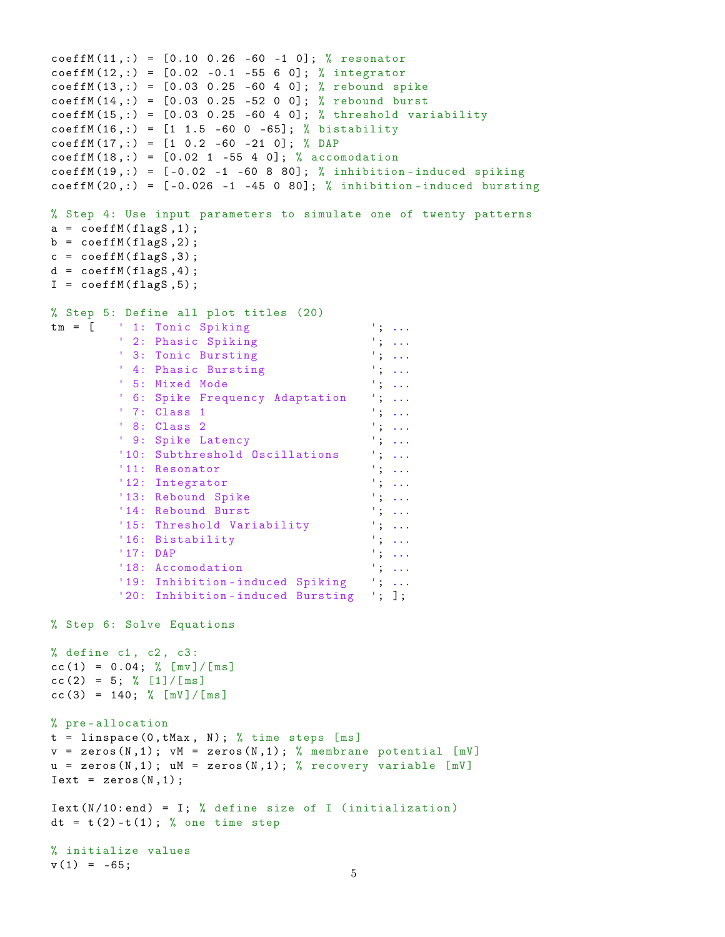```
coeffM(11, :)= [0.10 \ 0.26 \ -60 \ -1 \ 0]; % resonator
coeffM(12,:) = [0.02 -0.1 -55 6 0]; % integrator
coeffM(13,:) = [0.03 \t0.25 -60 \t4 \t0]; % rebound spike
coeffM(14,:) = [0.03 \ 0.25 \ -52 \ 0 \ 0]; % rebound burst
coeffM(15, :) = [0.03 \t0.25 -60 \t4 \t0]; % threshold variability
coeffM(16, :) = [1 \ 1.5 \ -60 \ 0 \ -65]; % bistability
coeffM(17,:) = [1 \ 0.2 \ -60 \ -21 \ 0]; %coeffM(18, :) = [0.02 \ 1 -55 \ 4 \ 0]; % accomodation
coeffM(19, :) = [-0.02 -1 -60 8 80]; % inhibition-induced spiking
coeffM(20, :) = [-0.026 -1 -45 0 80]; % inhibition-induced bursting
% Step 4: Use input parameters to simulate one of twenty patterns
a = \text{coeffM}(\text{flagS}, 1);b = \text{coeffM}(\text{flagS}, 2);
c = \text{coeffM}(\text{flagS}, 3);
d = coeffM(flagS, 4);I = \text{coeffM}(\text{flags}, 5);
% Step 5: Define all plot titles (20)
tm = [ ' 1: Tonic Spiking '; ...
         ' 2: Phasic Spiking '; ...
' 3: Tonic Bursting '; ...
' 4: Phasic Bursting '; ...
' 5: Mixed Mode '; ...
         ' 6: Spike Frequency Adaptation '; ...
         ' 7: Class 1 '; ...
         ' 8: Class 2 ', ...
         ' 9: Spike Latency ', ...
         '10: Subthreshold Oscillations '; ...
         '11: Resonator
         '12: Integrator '; ...
         '13: Rebound Spike '; ...
         '14: Rebound Burst '; ...
         '15: Threshold Variability '; ...
         '16: Bistability '; ...
         '17: DAP '; ...
         '18: Accomodation '; ...
         '19: Inhibition-induced Spiking '; ...
         '20: Inhibition - induced Bursting '; ];
% Step 6: Solve Equations
% define c1, c2, c3:
cc (1) = 0.04; % [mv]/[ms]cc (2) = 5; % [1]/[ms]cc (3) = 140; % [mV]/[m s]% pre - allocation
t = 1inspace (0, tMax, N); % time steps [ms]
v = zeros(N, 1); vM = zeros(N, 1); % membrane potential [mV]u = zeros(N, 1); uM = zeros(N, 1); % recovery variable [mV]Text = zeros(N,1);Text(N/10:end) = I; % define size of I (initialization)dt = t(2) - t(1); % one time step
% initialize values
v(1) = -65;
```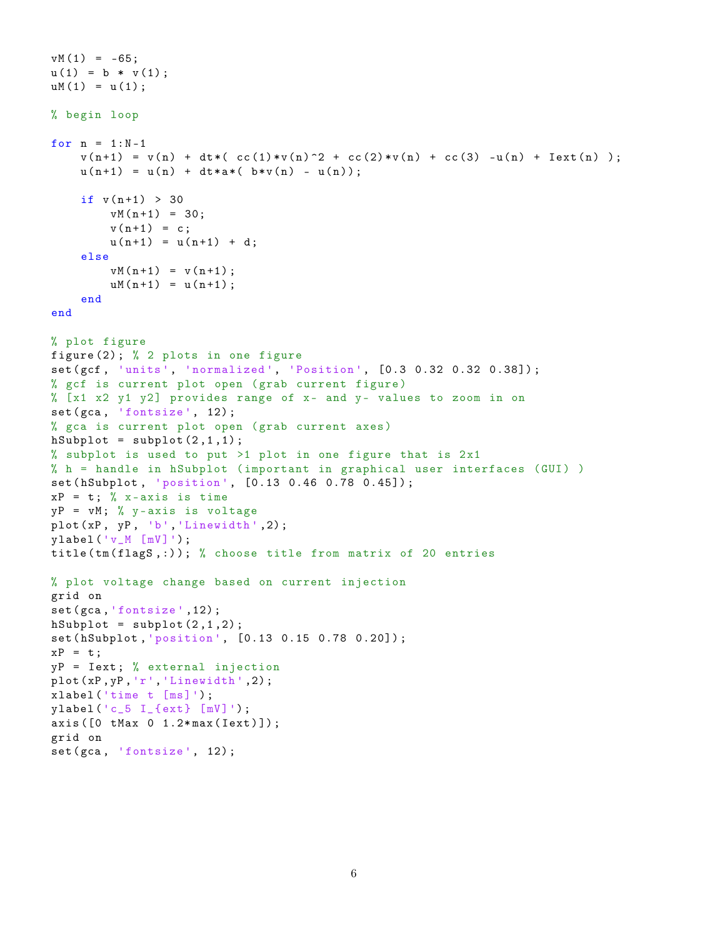```
vM(1) = -65;u(1) = b * v(1);
uM(1) = u(1);
% begin loop
for n = 1:N-1v(n+1) = v(n) + dt * (cc(1) * v(n)^2 + cc(2) * v(n) + cc(3) - u(n) + Iext(n) );
    u(n+1) = u(n) + dt * a * (b * v(n) - u(n));if v(n+1) > 30vM(n+1) = 30;v(n+1) = c;u(n+1) = u(n+1) + d;else
        vM(n+1) = v(n+1);
        uM(n+1) = u(n+1);
    end
end
% plot figure
figure (2) ; % 2 plots in one figure
set (gcf, 'units', 'normalized', 'Position', [0.3 0.32 0.32 0.38]);
% gcf is current plot open ( grab current figure )
% [x1 x2 y1 y2] provides range of x- and y- values to zoom in on
set (gca, 'fontsize', 12);
% gca is current plot open (grab current axes)
hSubplot = subplot(2,1,1);% subplot is used to put >1 plot in one figure that is 2x1
% h = handle in hSubplot ( important in graphical user interfaces ( GUI ) )
set (hSubplot, 'position', [0.13 0.46 0.78 0.45]);
xP = t; % x-axis is time
yP = vM; % y-axis is voltage
plot(xP, yP, 'b', 'Linearidth', 2);ylabel ('v_M [mV]') ;
title(tm(flags, :)); % choose title from matrix of 20 entries
% plot voltage change based on current injection
grid on
set (gca, 'fontsize', 12);
hSubplot = subplot(2,1,2);set ( hSubplot , 'position ', [0.13 0.15 0.78 0.20]) ;
xP = t;
yP = \text{Text}; % external injection
plot(xP, yP, 'r', 'Linearidth', 2);xlabel ('time t [ms]') ;
ylabel ('c_5 I_{ ext } [mV] ') ;
axis ([0 tMax 0 1.2*max (Iext)]);
grid on
set (gca, 'fontsize', 12);
```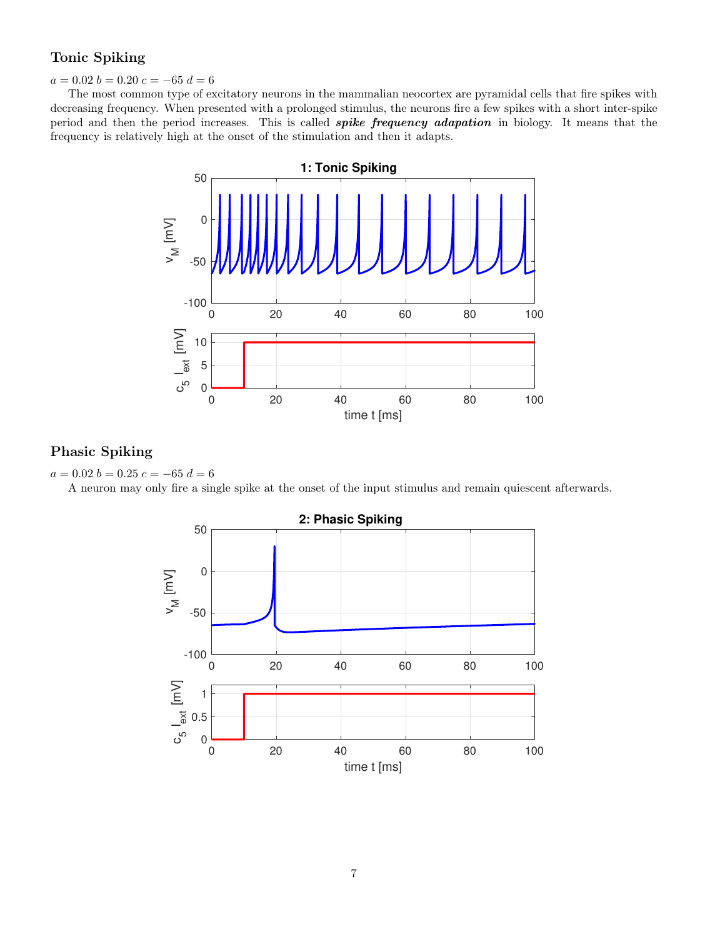### Tonic Spiking

#### $a = 0.02 b = 0.20 c = -65 d = 6$

The most common type of excitatory neurons in the mammalian neocortex are pyramidal cells that fire spikes with decreasing frequency. When presented with a prolonged stimulus, the neurons fire a few spikes with a short inter-spike period and then the period increases. This is called **spike frequency adapation** in biology. It means that the frequency is relatively high at the onset of the stimulation and then it adapts.



## Phasic Spiking



A neuron may only fire a single spike at the onset of the input stimulus and remain quiescent afterwards.

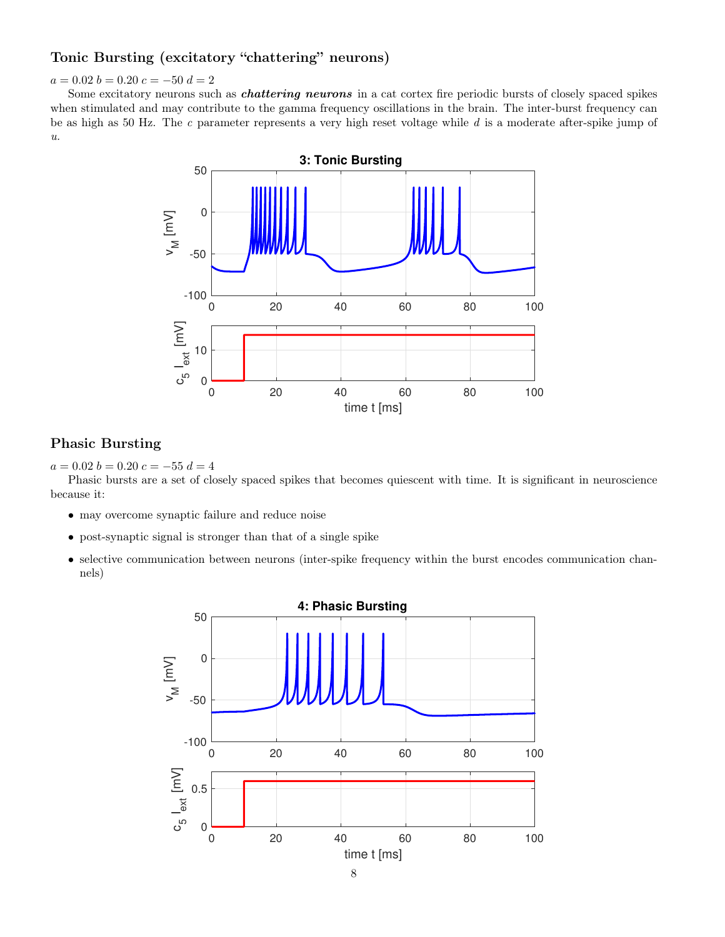## Tonic Bursting (excitatory "chattering" neurons)

### $a = 0.02 b = 0.20 c = -50 d = 2$

Some excitatory neurons such as *chattering neurons* in a cat cortex fire periodic bursts of closely spaced spikes when stimulated and may contribute to the gamma frequency oscillations in the brain. The inter-burst frequency can be as high as 50 Hz. The c parameter represents a very high reset voltage while  $d$  is a moderate after-spike jump of  $u$ .



#### Phasic Bursting

 $a = 0.02 b = 0.20 c = -55 d = 4$ 

Phasic bursts are a set of closely spaced spikes that becomes quiescent with time. It is significant in neuroscience because it:

- may overcome synaptic failure and reduce noise
- post-synaptic signal is stronger than that of a single spike
- selective communication between neurons (inter-spike frequency within the burst encodes communication channels)

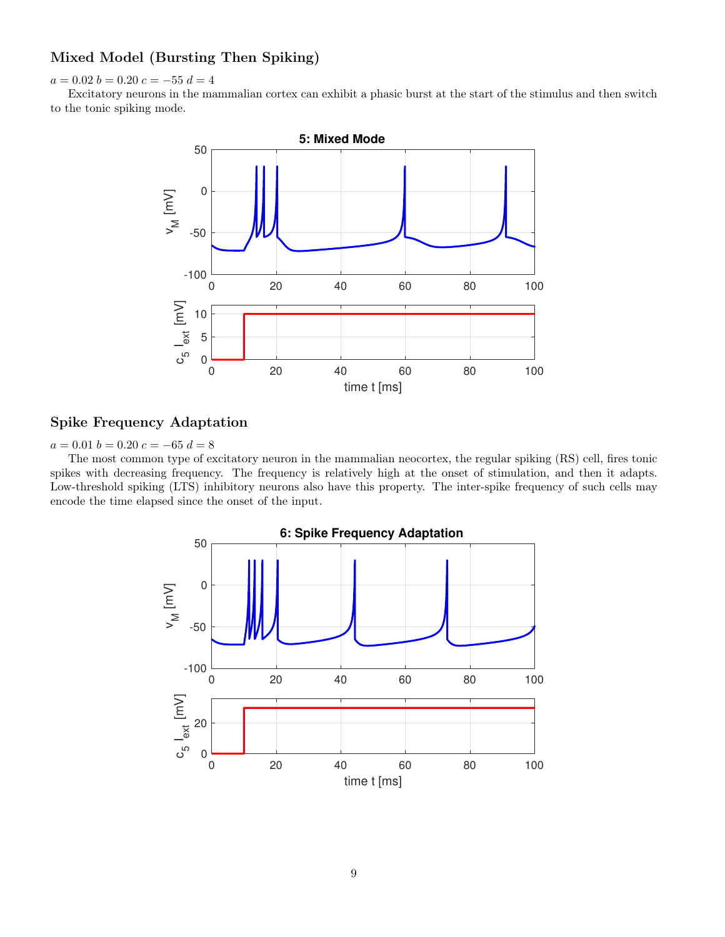### Mixed Model (Bursting Then Spiking)

 $a = 0.02 b = 0.20 c = -55 d = 4$ 

Excitatory neurons in the mammalian cortex can exhibit a phasic burst at the start of the stimulus and then switch to the tonic spiking mode.



### Spike Frequency Adaptation

 $a = 0.01 b = 0.20 c = -65 d = 8$ 

The most common type of excitatory neuron in the mammalian neocortex, the regular spiking (RS) cell, fires tonic spikes with decreasing frequency. The frequency is relatively high at the onset of stimulation, and then it adapts. Low-threshold spiking (LTS) inhibitory neurons also have this property. The inter-spike frequency of such cells may encode the time elapsed since the onset of the input.

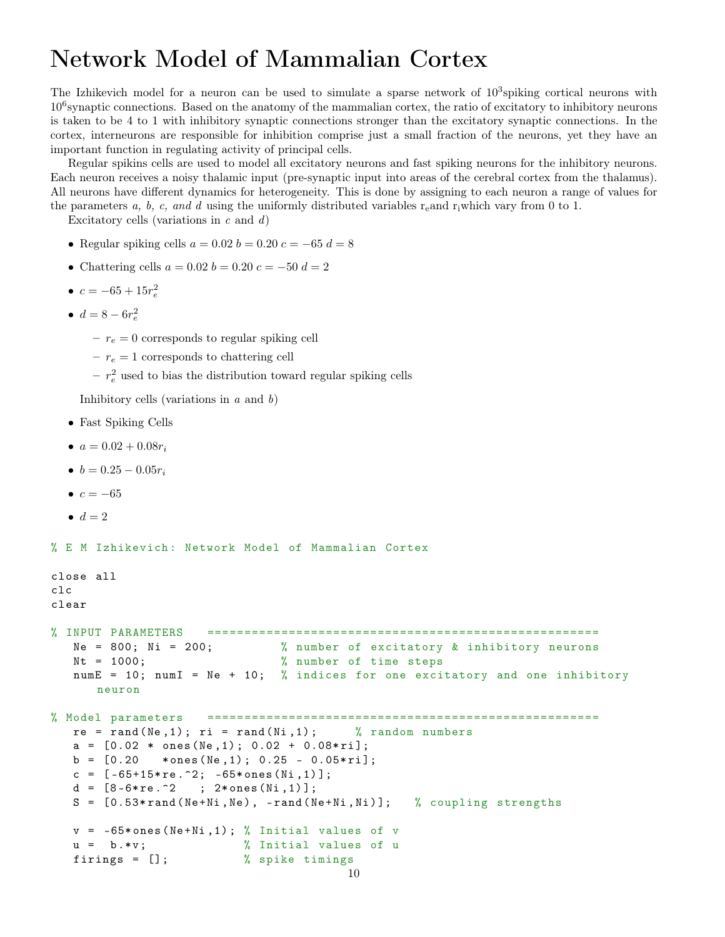## Network Model of Mammalian Cortex

The Izhikevich model for a neuron can be used to simulate a sparse network of  $10^3$ spiking cortical neurons with 10<sup>6</sup> synaptic connections. Based on the anatomy of the mammalian cortex, the ratio of excitatory to inhibitory neurons is taken to be 4 to 1 with inhibitory synaptic connections stronger than the excitatory synaptic connections. In the cortex, interneurons are responsible for inhibition comprise just a small fraction of the neurons, yet they have an important function in regulating activity of principal cells.

Regular spikins cells are used to model all excitatory neurons and fast spiking neurons for the inhibitory neurons. Each neuron receives a noisy thalamic input (pre-synaptic input into areas of the cerebral cortex from the thalamus). All neurons have different dynamics for heterogeneity. This is done by assigning to each neuron a range of values for the parameters a, b, c, and d using the uniformly distributed variables r<sub>e</sub>and r<sub>i</sub>which vary from 0 to 1.

Excitatory cells (variations in  $c$  and  $d$ )

- Regular spiking cells  $a = 0.02$   $b = 0.20$   $c = -65$   $d = 8$
- Chattering cells  $a = 0.02$   $b = 0.20$   $c = -50$   $d = 2$
- $c = -65 + 15r_e^2$
- $d = 8 6r_e^2$ 
	- $r_e = 0$  corresponds to regular spiking cell
	- $r_e = 1$  corresponds to chattering cell
	- $r_e^2$  used to bias the distribution toward regular spiking cells

Inhibitory cells (variations in  $a$  and  $b$ )

- Fast Spiking Cells
- $a = 0.02 + 0.08r_i$
- $b = 0.25 0.05r_i$
- $c = -65$
- $\bullet$   $d=2$

```
% E M Izhikevich: Network Model of Mammalian Cortex
```

```
close all
clc
clear
% INPUT PARAMETERS =====================================================
  Ne = 800; Ni = 200; % number of excitatory & inhibitory neurons
  Nt = 1000; \% number of time steps
  numE = 10; numI = Ne + 10; % indices for one excitatory and one inhibitory
     neuron
% Model parameters =====================================================
  re = rand(Ne, 1); ri = rand(Ni, 1); % random numbersa = [0.02 * ones(Ne,1); 0.02 + 0.08*ri];b = [0.20 *ones (Ne, 1); 0.25 - 0.05*ri;
  c = [-65+15*re.^2; -65*ones(Ni,1)];d = [8-6*re.^2; 2*ones(Ni,1)];S = [0.53*rand(Ne+Ni, Ne), -rand(Ne+Ni,Ni)]; % coupling strengths
  v = -65*ones(Ne+Ni, 1); % Initial values of vu = b.*v; % Initial values of u
  firings = []; % spike timings
```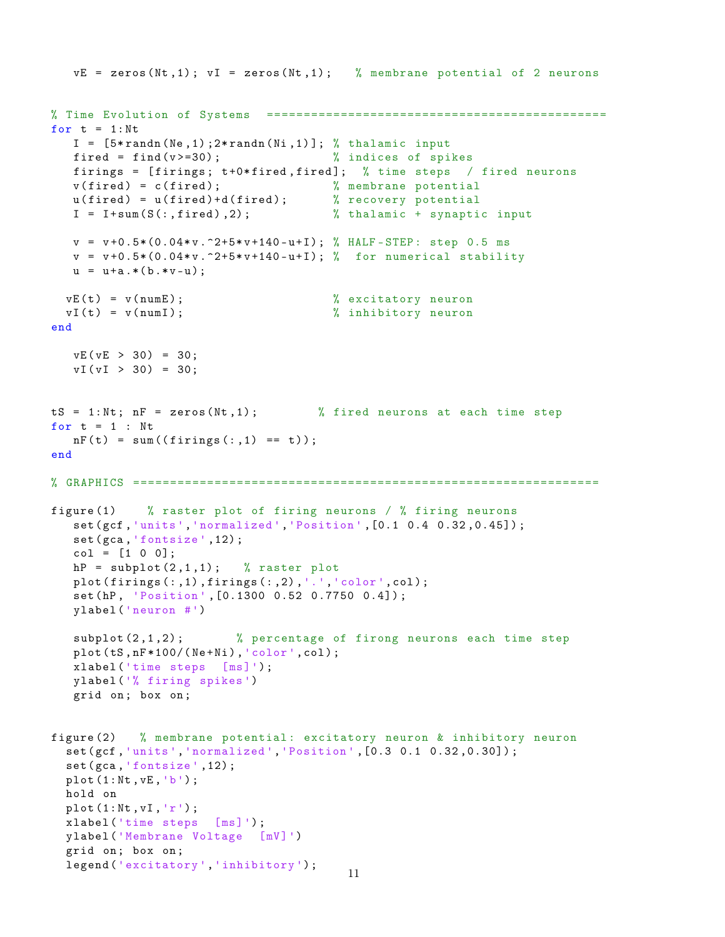```
vE = zeros(Nt, 1); vI = zeros(Nt, 1); % membrane potential of 2 neurons
% Time Evolution of Systems ==============================================
for t = 1:NtI = [5*randn(Ne,1);2*randn(Ni,1)]; % thalamic inputfired = find (v>=30); \frac{1}{2} indices of spikes
   firings = [firings; t+0*fired, fired]; % time steps / fired neurons
   v(fired) = c(fired); <br> % membrane potential
   u ( fired ) = u ( fired ) + d ( fired ); % recovery potential
   I = I+sum(S(:,fired),2);  % thalamic + synaptic input
  v = v + 0.5*(0.04*v.^2+5*v + 140 - u + I); % HALF-STEP: step 0.5 ms
   v = v + 0.5 * (0.04 * v \cdot 2 + 5 * v + 140 - u + I); % for numerical stability
  u = u+a.*( b.*v-u);vE(t) = v(numE); \% excitatory neuron
  vI(t) = v(numI); % inhibitory neuron
end
   vE ( vE > 30 ) = 30;vI (vI > 30) = 30;tS = 1:Nt; nF = zeros(Nt, 1); % fired neurons at each time step
for t = 1 : Nt
  nF(t) = sum((firings(:, 1) == t));end
% GRAPHICS ===============================================================
figure (1) % raster plot of firing neurons / % firing neurons
   set ( gcf ,'units ',' normalized ','Position ' ,[0.1 0.4 0.32 ,0.45]) ;
   set (gca, 'fontsize', 12);
   col = [1 0 0];hP = \text{subplot}(2,1,1); % raster plot
   plot(firings(:,1), firings(:,2),'.','color',color',col);set (hP, 'Position', [0.1300 0.52 0.7750 0.4]);
   ylabel ('neuron #')
   subplot (2, 1, 2); % percentage of firong neurons each time step
   plot(tS,nF*100/(Ne+Ni), 'color', col);xlabel ('time steps [ms] ') ;
   ylabel ('% firing spikes ')
   grid on ; box on ;
figure (2) % membrane potential : excitatory neuron & inhibitory neuron
  set ( gcf ,'units ',' normalized ','Position ' ,[0.3 0.1 0.32 ,0.30]) ;
  set (gca, 'fontsize', 12);
  plot (1: Nt , vE , 'b') ;
  hold on
  plot(1:Nt, vI, 'r');
  xlabel ('time steps [ms] ') ;
  ylabel ('Membrane Voltage [mV] ')
  grid on ; box on ;
  legend ('excitatory','inhibitory');
                                         11
```